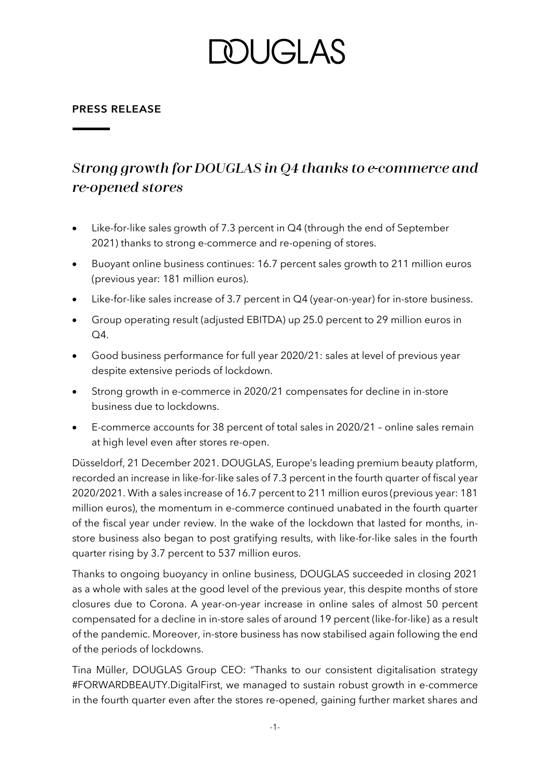## DUGI AS

#### **PRESS RELEASE**

### Strong growth for DOUGLAS in Q4 thanks to e-commerce and re-opened stores

- Like-for-like sales growth of 7.3 percent in Q4 (through the end of September 2021) thanks to strong e-commerce and re-opening of stores.
- Buoyant online business continues: 16.7 percent sales growth to 211 million euros (previous year: 181 million euros).
- Like-for-like sales increase of 3.7 percent in Q4 (year-on-year) for in-store business.
- Group operating result (adjusted EBITDA) up 25.0 percent to 29 million euros in Q4.
- Good business performance for full year 2020/21: sales at level of previous year despite extensive periods of lockdown.
- Strong growth in e-commerce in 2020/21 compensates for decline in in-store business due to lockdowns.
- E-commerce accounts for 38 percent of total sales in 2020/21 online sales remain at high level even after stores re-open.

Düsseldorf, 21 December 2021. DOUGLAS, Europe's leading premium beauty platform, recorded an increase in like-for-like sales of 7.3 percent in the fourth quarter of fiscal year 2020/2021. With a sales increase of 16.7 percent to 211 million euros (previous year: 181 million euros), the momentum in e-commerce continued unabated in the fourth quarter of the fiscal year under review. In the wake of the lockdown that lasted for months, instore business also began to post gratifying results, with like-for-like sales in the fourth quarter rising by 3.7 percent to 537 million euros.

Thanks to ongoing buoyancy in online business, DOUGLAS succeeded in closing 2021 as a whole with sales at the good level of the previous year, this despite months of store closures due to Corona. A year-on-year increase in online sales of almost 50 percent compensated for a decline in in-store sales of around 19 percent (like-for-like) as a result of the pandemic. Moreover, in-store business has now stabilised again following the end of the periods of lockdowns.

Tina Müller, DOUGLAS Group CEO: "Thanks to our consistent digitalisation strategy #FORWARDBEAUTY.DigitalFirst, we managed to sustain robust growth in e-commerce in the fourth quarter even after the stores re-opened, gaining further market shares and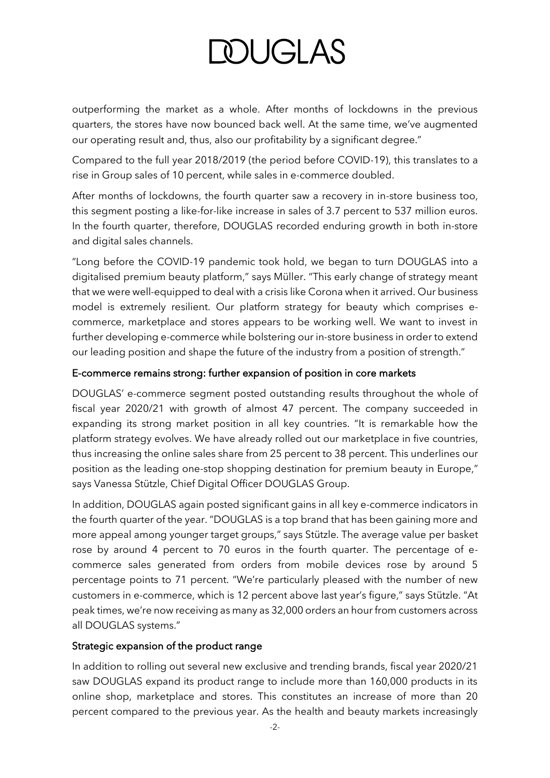# **DOUGLAS**

outperforming the market as a whole. After months of lockdowns in the previous quarters, the stores have now bounced back well. At the same time, we've augmented our operating result and, thus, also our profitability by a significant degree."

Compared to the full year 2018/2019 (the period before COVID-19), this translates to a rise in Group sales of 10 percent, while sales in e-commerce doubled.

After months of lockdowns, the fourth quarter saw a recovery in in-store business too, this segment posting a like-for-like increase in sales of 3.7 percent to 537 million euros. In the fourth quarter, therefore, DOUGLAS recorded enduring growth in both in-store and digital sales channels.

"Long before the COVID-19 pandemic took hold, we began to turn DOUGLAS into a digitalised premium beauty platform," says Müller. "This early change of strategy meant that we were well-equipped to deal with a crisis like Corona when it arrived. Our business model is extremely resilient. Our platform strategy for beauty which comprises ecommerce, marketplace and stores appears to be working well. We want to invest in further developing e-commerce while bolstering our in-store business in order to extend our leading position and shape the future of the industry from a position of strength."

### E-commerce remains strong: further expansion of position in core markets

DOUGLAS' e-commerce segment posted outstanding results throughout the whole of fiscal year 2020/21 with growth of almost 47 percent. The company succeeded in expanding its strong market position in all key countries. "It is remarkable how the platform strategy evolves. We have already rolled out our marketplace in five countries, thus increasing the online sales share from 25 percent to 38 percent. This underlines our position as the leading one-stop shopping destination for premium beauty in Europe," says Vanessa Stützle, Chief Digital Officer DOUGLAS Group.

In addition, DOUGLAS again posted significant gains in all key e-commerce indicators in the fourth quarter of the year. "DOUGLAS is a top brand that has been gaining more and more appeal among younger target groups," says Stützle. The average value per basket rose by around 4 percent to 70 euros in the fourth quarter. The percentage of ecommerce sales generated from orders from mobile devices rose by around 5 percentage points to 71 percent. "We're particularly pleased with the number of new customers in e-commerce, which is 12 percent above last year's figure," says Stützle. "At peak times, we're now receiving as many as 32,000 orders an hour from customers across all DOUGLAS systems."

### Strategic expansion of the product range

In addition to rolling out several new exclusive and trending brands, fiscal year 2020/21 saw DOUGLAS expand its product range to include more than 160,000 products in its online shop, marketplace and stores. This constitutes an increase of more than 20 percent compared to the previous year. As the health and beauty markets increasingly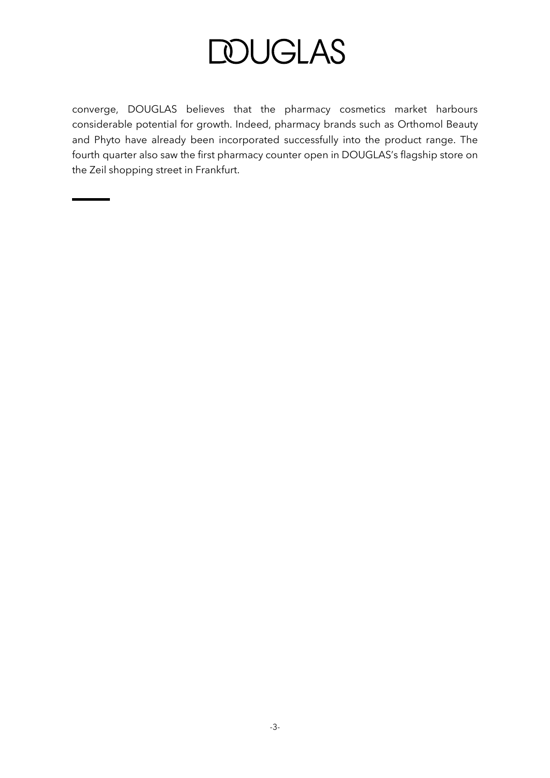### **DOUGLAS**

converge, DOUGLAS believes that the pharmacy cosmetics market harbours considerable potential for growth. Indeed, pharmacy brands such as Orthomol Beauty and Phyto have already been incorporated successfully into the product range. The fourth quarter also saw the first pharmacy counter open in DOUGLAS's flagship store on the Zeil shopping street in Frankfurt.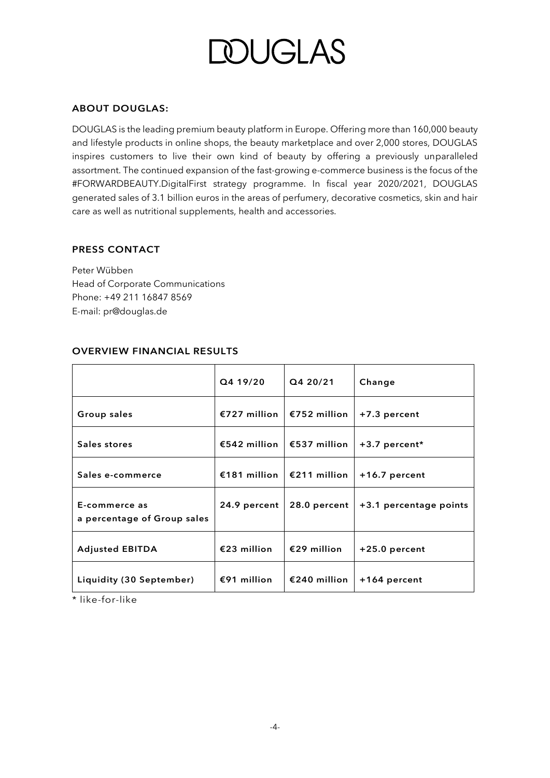## *OUGLAS*

#### **ABOUT DOUGLAS:**

DOUGLAS is the leading premium beauty platform in Europe. Offering more than 160,000 beauty and lifestyle products in online shops, the beauty marketplace and over 2,000 stores, DOUGLAS inspires customers to live their own kind of beauty by offering a previously unparalleled assortment. The continued expansion of the fast-growing e-commerce business is the focus of the #FORWARDBEAUTY.DigitalFirst strategy programme. In fiscal year 2020/2021, DOUGLAS generated sales of 3.1 billion euros in the areas of perfumery, decorative cosmetics, skin and hair care as well as nutritional supplements, health and accessories.

#### **PRESS CONTACT**

Peter Wübben Head of Corporate Communications Phone: +49 211 16847 8569 E-mail: pr@douglas.de

|                                              | Q4 19/20     | Q4 20/21                    | Change                 |
|----------------------------------------------|--------------|-----------------------------|------------------------|
| Group sales                                  |              | €727 million   €752 million | +7.3 percent           |
| Sales stores                                 |              | €542 million   €537 million | +3.7 percent*          |
| Sales e-commerce                             |              | €181 million   €211 million | +16.7 percent          |
| E-commerce as<br>a percentage of Group sales | 24.9 percent | 28.0 percent                | +3.1 percentage points |
| <b>Adjusted EBITDA</b>                       | €23 million  | €29 million                 | +25.0 percent          |
| Liquidity (30 September)                     | €91 million  | €240 million                | +164 percent           |

#### **OVERVIEW FINANCIAL RESULTS**

\* like-for-like